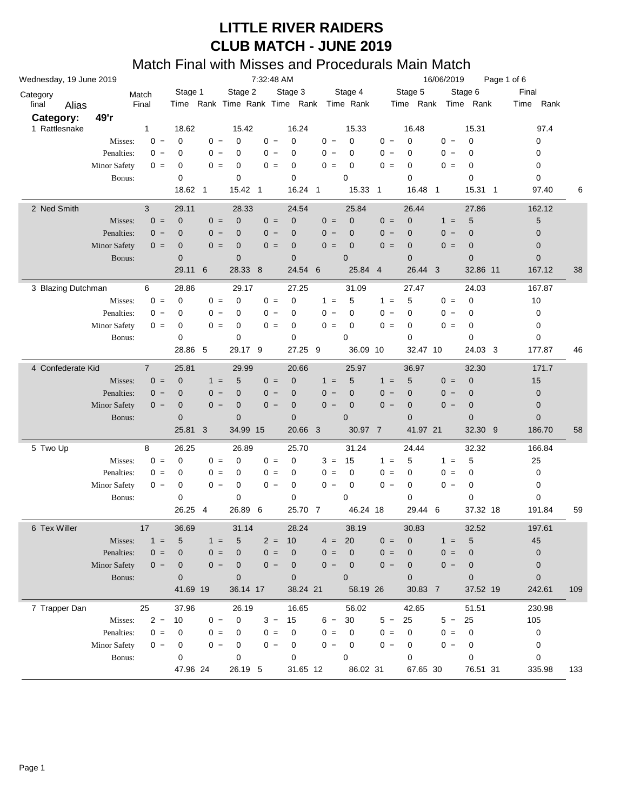| 7:32:48 AM<br>Wednesday, 19 June 2019<br>16/06/2019<br>Page 1 of 6<br>Stage 2<br>Stage 3<br>Stage 4<br>Stage 5<br>Stage 6<br>Final<br>Stage 1<br>Match<br>Category<br>Final<br>Time Rank Time Rank Time Rank Time Rank<br>Time Rank<br>Time Rank<br>final<br>Time<br>Alias<br>49'r<br>Category:<br>1 Rattlesnake<br>18.62<br>16.48<br>15.31<br>$\mathbf{1}$<br>15.42<br>16.24<br>15.33<br>$0 =$<br>$\mathbf 0$<br>$\mathbf 0$<br>$0 =$<br>0<br>$0 =$<br>0<br>$0 =$<br>0<br>$0 =$<br>0<br>$0 =$<br>0<br>Misses: |      |  |  |
|----------------------------------------------------------------------------------------------------------------------------------------------------------------------------------------------------------------------------------------------------------------------------------------------------------------------------------------------------------------------------------------------------------------------------------------------------------------------------------------------------------------|------|--|--|
|                                                                                                                                                                                                                                                                                                                                                                                                                                                                                                                |      |  |  |
|                                                                                                                                                                                                                                                                                                                                                                                                                                                                                                                | Rank |  |  |
|                                                                                                                                                                                                                                                                                                                                                                                                                                                                                                                |      |  |  |
|                                                                                                                                                                                                                                                                                                                                                                                                                                                                                                                | 97.4 |  |  |
|                                                                                                                                                                                                                                                                                                                                                                                                                                                                                                                |      |  |  |
| Penalties:<br>$0 =$<br>$0 =$<br>0<br>$0 =$<br>0<br>$0 =$<br>0<br>$0 =$<br>0<br>0<br>$0 =$<br>0<br>0                                                                                                                                                                                                                                                                                                                                                                                                            |      |  |  |
| <b>Minor Safety</b><br>0<br>$0 =$<br>0<br>$0 =$<br>0<br>$0 =$<br>0<br>$0 =$<br>0<br>$0 =$<br>0<br>0<br>$0 =$                                                                                                                                                                                                                                                                                                                                                                                                   |      |  |  |
| 0<br>0<br>0<br>$\mathbf 0$<br>0<br>0<br>0<br>Bonus:                                                                                                                                                                                                                                                                                                                                                                                                                                                            |      |  |  |
| 18.62 1<br>15.42 1<br>16.24 1<br>15.33<br>16.48<br>15.31<br>97.40<br>$\overline{1}$<br>$\overline{\mathbf{1}}$<br>$\overline{1}$                                                                                                                                                                                                                                                                                                                                                                               | 6    |  |  |
|                                                                                                                                                                                                                                                                                                                                                                                                                                                                                                                |      |  |  |
| 2 Ned Smith<br>3<br>29.11<br>28.33<br>24.54<br>25.84<br>26.44<br>27.86<br>162.12<br>$0 =$<br>$0 =$                                                                                                                                                                                                                                                                                                                                                                                                             |      |  |  |
| $\mathbf 5$<br>$\mathbf 0$<br>$\mathbf 0$<br>0<br>0<br>$\sqrt{5}$<br>$0 =$<br>$0 =$<br>$\mathbf 0$<br>$0 =$<br>$1 =$<br>Misses:                                                                                                                                                                                                                                                                                                                                                                                |      |  |  |
| $0 =$<br>$0 =$<br>Penalties:<br>$0 =$<br>$\mathbf 0$<br>$0 =$<br>$\mathbf{0}$<br>$0 =$<br>$\mathbf 0$<br>0<br>0<br>$0 =$<br>0<br>$\mathbf 0$                                                                                                                                                                                                                                                                                                                                                                   |      |  |  |
| $\mathbf 0$<br>$0 =$<br><b>Minor Safety</b><br>$\mathbf 0$<br>$0 =$<br>$0 =$<br>$\mathbf 0$<br>$\mathbf 0$<br>$0 =$<br>0<br>$0 =$<br>$\mathbf 0$<br>$\mathbf 0$<br>$0 =$                                                                                                                                                                                                                                                                                                                                       |      |  |  |
| $\mathbf 0$<br>$\mathbf 0$<br>$\mathbf{0}$<br>$\mathbf 0$<br>$\overline{0}$<br>$\mathbf 0$<br>$\mathbf 0$<br>Bonus:                                                                                                                                                                                                                                                                                                                                                                                            |      |  |  |
| 8<br>29.11<br>6<br>28.33<br>24.54<br>6<br>25.84<br>$\overline{4}$<br>26.44<br>3<br>32.86 11<br>167.12                                                                                                                                                                                                                                                                                                                                                                                                          | 38   |  |  |
| 24.03<br>3 Blazing Dutchman<br>6<br>28.86<br>29.17<br>27.25<br>31.09<br>27.47<br>167.87                                                                                                                                                                                                                                                                                                                                                                                                                        |      |  |  |
| $0 =$<br>5<br>5<br>0<br>Misses:<br>$0 =$<br>0<br>$0 =$<br>0<br>0<br>$1 =$<br>$1 =$<br>$0 =$<br>10                                                                                                                                                                                                                                                                                                                                                                                                              |      |  |  |
| Penalties:<br>$0 =$<br>0<br>$0 =$<br>0<br>$0 =$<br>0<br>$0 =$<br>0<br>$0 =$<br>0<br>$0 =$<br>0<br>0                                                                                                                                                                                                                                                                                                                                                                                                            |      |  |  |
| 0<br><b>Minor Safety</b><br>0<br>$0 =$<br>0<br>$0 =$<br>0<br>$0 =$<br>$0 =$<br>0<br>$0 =$<br>0<br>0<br>$0 =$                                                                                                                                                                                                                                                                                                                                                                                                   |      |  |  |
| 0<br>$\mathbf 0$<br>0<br>0<br>0<br>0<br>0<br>Bonus:                                                                                                                                                                                                                                                                                                                                                                                                                                                            |      |  |  |
| 5<br>27.25<br>28.86<br>29.17 9<br>9<br>36.09 10<br>32.47 10<br>24.03 3<br>177.87                                                                                                                                                                                                                                                                                                                                                                                                                               | 46   |  |  |
| 4 Confederate Kid<br>25.81<br>29.99<br>25.97<br>36.97<br>32.30<br>171.7<br>$\overline{7}$<br>20.66                                                                                                                                                                                                                                                                                                                                                                                                             |      |  |  |
| $0 =$<br>$\pmb{0}$<br>5<br>5<br>5<br>$0 =$<br>$\mathbf 0$<br>Misses:<br>$1 =$<br>$0 =$<br>$\mathbf 0$<br>$1 =$<br>$1 =$<br>15                                                                                                                                                                                                                                                                                                                                                                                  |      |  |  |
| $0 =$<br>$0 =$<br>Penalties:<br>$0 =$<br>$\mathbf 0$<br>$0 =$<br>$\mathbf{0}$<br>$0 =$<br>$\mathbf 0$<br>0<br>0<br>$0 =$<br>$\mathbf 0$<br>$\boldsymbol{0}$                                                                                                                                                                                                                                                                                                                                                    |      |  |  |
| $\mathbf 0$<br>$0 =$<br>$\mathbf 0$<br><b>Minor Safety</b><br>$\mathbf 0$<br>$0 =$<br>$0 =$<br>$\mathbf 0$<br>$0 =$<br>0<br>$0 =$<br>$\mathbf 0$<br>$\mathbf 0$<br>$0 =$                                                                                                                                                                                                                                                                                                                                       |      |  |  |
| $\mathbf 0$<br>$\mathbf 0$<br>$\mathbf{0}$<br>$\mathbf 0$<br>$\overline{0}$<br>$\mathbf 0$<br>$\mathbf 0$<br>Bonus:                                                                                                                                                                                                                                                                                                                                                                                            |      |  |  |
| 34.99 15<br>20.66 3<br>25.81<br>3<br>30.97 7<br>41.97 21<br>32.30 9<br>186.70                                                                                                                                                                                                                                                                                                                                                                                                                                  | 58   |  |  |
|                                                                                                                                                                                                                                                                                                                                                                                                                                                                                                                |      |  |  |
| 5 Two Up<br>8<br>26.25<br>26.89<br>31.24<br>32.32<br>25.70<br>24.44<br>166.84                                                                                                                                                                                                                                                                                                                                                                                                                                  |      |  |  |
| $0 =$<br>$\mathbf 0$<br>$\mathbf 0$<br>$0 =$<br>$3 =$<br>15<br>5<br>5<br>Misses:<br>$0 =$<br>0<br>$1 =$<br>$1 =$<br>25                                                                                                                                                                                                                                                                                                                                                                                         |      |  |  |
| 0<br>$0 =$<br>Penalties:<br>$0 =$<br>0<br>$0 =$<br>0<br>$0 =$<br>0<br>$0 =$<br>0<br>$0 =$<br>0<br>0                                                                                                                                                                                                                                                                                                                                                                                                            |      |  |  |
| 0<br>$0 =$<br>0<br><b>Minor Safety</b><br>0<br>$0 =$<br>$0 =$<br>0<br>$0 =$<br>0<br>$0 =$<br>0<br>0<br>$0 =$                                                                                                                                                                                                                                                                                                                                                                                                   |      |  |  |
| 0<br>$\mathbf 0$<br>0<br>0<br>0<br>0<br>0<br>Bonus:                                                                                                                                                                                                                                                                                                                                                                                                                                                            |      |  |  |
|                                                                                                                                                                                                                                                                                                                                                                                                                                                                                                                | 59   |  |  |
| 26.89<br>26.25<br>6<br>25.70 7<br>46.24 18<br>29.44<br>6<br>37.32 18<br>191.84<br>4                                                                                                                                                                                                                                                                                                                                                                                                                            |      |  |  |
| 6 Tex Willer<br>36.69<br>28.24<br>38.19<br>30.83<br>32.52<br>197.61<br>17<br>31.14                                                                                                                                                                                                                                                                                                                                                                                                                             |      |  |  |
| $1 =$<br>5<br>10<br>20<br>$0 =$<br>0<br>5<br>45<br>Misses:<br>$1 =$<br>5<br>$2 =$<br>$1 =$<br>$4 =$                                                                                                                                                                                                                                                                                                                                                                                                            |      |  |  |
| Penalties:<br>$0 =$<br>0<br>$0 =$<br>$\pmb{0}$<br>$0 =$<br>$\mathbf 0$<br>$0 =$<br>$\mathbf{0}$<br>$0 =$<br>0<br>$0 =$<br>$\mathbf 0$<br>0                                                                                                                                                                                                                                                                                                                                                                     |      |  |  |
| Minor Safety<br>$0 =$<br>$0 =$<br>$\pmb{0}$<br>$0 =$<br>0<br>$\mathbf 0$<br>$0 =$<br>$\mathbf 0$<br>$0 =$<br>0<br>$0 =$<br>0<br>0                                                                                                                                                                                                                                                                                                                                                                              |      |  |  |
| $\overline{0}$<br>$\mathbf 0$<br>$\mathbf 0$<br>$\overline{0}$<br>0<br>Bonus:<br>$\mathbf 0$<br>$\overline{0}$                                                                                                                                                                                                                                                                                                                                                                                                 |      |  |  |
| 41.69 19<br>36.14 17<br>38.24 21<br>58.19 26<br>30.83 7<br>37.52 19<br>242.61                                                                                                                                                                                                                                                                                                                                                                                                                                  | 109  |  |  |
| 7 Trapper Dan<br>25<br>56.02<br>42.65<br>37.96<br>26.19<br>16.65<br>51.51<br>230.98                                                                                                                                                                                                                                                                                                                                                                                                                            |      |  |  |
| $2 =$<br>$5 =$<br>$5 =$<br>Misses:<br>10<br>$0 =$<br>0<br>$3 =$<br>15<br>$6 =$<br>30<br>25<br>25<br>105                                                                                                                                                                                                                                                                                                                                                                                                        |      |  |  |
| Penalties:<br>$0 =$<br>$0 =$<br>$0 =$<br>$0 =$<br>0<br>$0 =$<br>0<br>$\pmb{0}$<br>0<br>0<br>0<br>$0 =$<br>0                                                                                                                                                                                                                                                                                                                                                                                                    |      |  |  |
| Minor Safety<br>$0 =$<br>$0 =$<br>$0 =$<br>0<br>$0 =$<br>0<br>0<br>$0 =$<br>0<br>0<br>0<br>$0 =$<br>0                                                                                                                                                                                                                                                                                                                                                                                                          |      |  |  |
| $\mathbf 0$<br>0<br>0<br>0<br>0<br>0<br>0<br>Bonus:                                                                                                                                                                                                                                                                                                                                                                                                                                                            |      |  |  |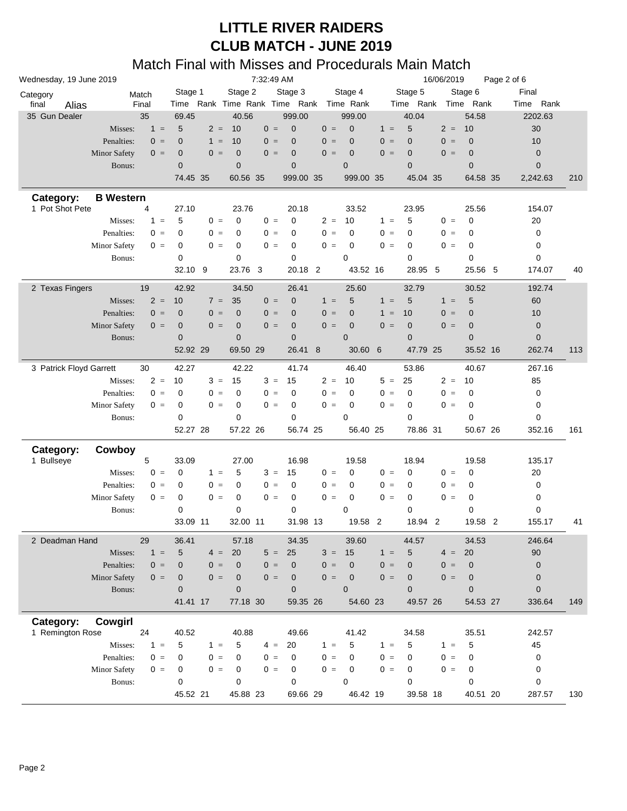| Wednesday, 19 June 2019 | 7:32:49 AM          |       |                 |       |                |              |                               |       | 16/06/2019<br>Page 2 of 6     |                 |                |       |                     |          |             |     |
|-------------------------|---------------------|-------|-----------------|-------|----------------|--------------|-------------------------------|-------|-------------------------------|-----------------|----------------|-------|---------------------|----------|-------------|-----|
| Category                |                     | Match | Stage 1         |       | Stage 2        |              | Stage 3                       |       | Stage 4                       |                 | Stage 5        |       | Stage 6             | Final    |             |     |
| final<br>Alias          |                     | Final |                 |       |                |              | Time Rank Time Rank Time Rank |       | Time Rank                     |                 |                |       | Time Rank Time Rank | Time     | Rank        |     |
| 35 Gun Dealer           |                     | 35    | 69.45           |       | 40.56          |              | 999.00                        |       | 999.00                        |                 | 40.04          |       | 54.58               | 2202.63  |             |     |
|                         | Misses:             | $1 =$ | 5               | $2 =$ | 10             | $0 =$        | $\mathbf 0$                   | $0 =$ | $\mathbf 0$                   | $1 =$           | 5              | $2 =$ | 10                  | 30       |             |     |
|                         | Penalties:          | $0 =$ | $\mathbf{0}$    | $1 =$ | 10             | $0 =$        | $\mathbf 0$                   | $0 =$ | $\mathbf 0$                   | $0 =$           | $\overline{0}$ | $0 =$ | $\mathbf 0$         | 10       |             |     |
|                         | <b>Minor Safety</b> | $0 =$ | $\mathbf 0$     | $0 =$ | $\mathbf 0$    | $0 =$        | $\pmb{0}$                     | $0 =$ | $\mathbf 0$                   | $0 =$           | $\mathbf 0$    | $0 =$ | $\mathbf 0$         |          | 0           |     |
|                         | Bonus:              |       | $\mathbf{0}$    |       | $\overline{0}$ |              | $\mathbf 0$                   |       | $\overline{0}$                |                 | $\overline{0}$ |       | $\overline{0}$      |          | $\mathbf 0$ |     |
|                         |                     |       | 74.45 35        |       | 60.56 35       |              | 999.00 35                     |       | 999.00 35                     |                 | 45.04 35       |       | 64.58 35            | 2,242.63 |             | 210 |
| Category:               | <b>B</b> Western    |       |                 |       |                |              |                               |       |                               |                 |                |       |                     |          |             |     |
| 1 Pot Shot Pete         |                     | 4     | 27.10           |       | 23.76          |              | 20.18                         |       | 33.52                         |                 | 23.95          |       | 25.56               |          | 154.07      |     |
|                         | Misses:             | $1 =$ | 5               | $0 =$ | $\mathbf 0$    | $0 =$        | 0                             | $2 =$ | 10                            | $1 =$           | 5              | $0 =$ | $\mathbf 0$         | 20       |             |     |
|                         | Penalties:          | $0 =$ | 0               | $0 =$ | 0              | $0 =$        | 0                             | $0 =$ | 0                             | $0 =$           | 0              | $0 =$ | 0                   |          | 0           |     |
|                         | <b>Minor Safety</b> | $0 =$ | 0               | $0 =$ | $\mathbf 0$    | $0 =$        | 0                             | $0 =$ | 0                             | $0 =$           | 0              | $0 =$ | 0                   |          | 0           |     |
|                         | Bonus:              |       | 0               |       | $\mathbf 0$    |              | 0                             |       | 0                             |                 | $\mathbf 0$    |       | 0                   |          | 0           |     |
|                         |                     |       | 32.10 9         |       | 23.76          | $\mathbf{3}$ | 20.18 2                       |       | 43.52 16                      |                 | 28.95          | 5     | 25.56               | 5        | 174.07      | 40  |
|                         |                     |       |                 |       |                |              |                               |       |                               |                 |                |       |                     |          |             |     |
| 2 Texas Fingers         |                     | 19    | 42.92           |       | 34.50          |              | 26.41                         |       | 25.60                         |                 | 32.79          |       | 30.52               |          | 192.74      |     |
|                         | Misses:             | $2 =$ | 10              | $7 =$ | 35             | $0 =$        | $\mathbf 0$                   | $1 =$ | 5                             | $1 =$           | 5              | $1 =$ | 5                   | 60       |             |     |
|                         | Penalties:          | $0 =$ | $\mathbf 0$     | $0 =$ | $\overline{0}$ | $0 =$        | $\mathbf 0$                   | $0 =$ | $\mathbf 0$                   | $1 =$           | 10             | $0 =$ | $\mathbf 0$         | 10       |             |     |
|                         | <b>Minor Safety</b> | $0 =$ | $\mathbf 0$     | $0 =$ | $\mathbf 0$    | $0 =$        | $\pmb{0}$                     | $0 =$ | $\mathbf 0$                   | $0 =$           | $\mathbf 0$    | $0 =$ | $\mathbf 0$         |          | 0           |     |
|                         | Bonus:              |       | $\mathbf{0}$    |       | $\overline{0}$ |              | $\mathbf 0$                   |       | $\overline{0}$                |                 | $\overline{0}$ |       | $\overline{0}$      |          | $\mathbf 0$ |     |
|                         |                     |       | 52.92 29        |       | 69.50 29       |              | 26.41                         | 8     | 30.60                         | $6\phantom{1}6$ | 47.79 25       |       | 35.52 16            |          | 262.74      | 113 |
| 3 Patrick Floyd Garrett |                     | 30    | 42.27           |       | 42.22          |              | 41.74                         |       | 46.40                         |                 | 53.86          |       | 40.67               |          | 267.16      |     |
|                         | Misses:             | $2 =$ | 10              | $3 =$ | 15             | $3 =$        | 15                            | $2 =$ | 10                            | $5 =$           | 25             | $2 =$ | 10                  | 85       |             |     |
|                         | Penalties:          | $0 =$ | 0               | $0 =$ | $\mathbf 0$    | $0 =$        | 0                             | $0 =$ | 0                             | $0 =$           | 0              | $0 =$ | 0                   |          | 0           |     |
|                         | <b>Minor Safety</b> | $0 =$ | 0               | $0 =$ | 0              | $0 =$        | $\pmb{0}$                     | $0 =$ | $\mathbf 0$                   | $0 =$           | 0              | $0 =$ | 0                   |          | 0           |     |
|                         | Bonus:              |       | 0               |       | $\mathbf 0$    |              | 0                             |       | 0                             |                 | $\mathbf 0$    |       | $\mathbf 0$         |          | 0           |     |
|                         |                     |       | 52.27 28        |       | 57.22 26       |              | 56.74 25                      |       | 56.40 25                      |                 | 78.86 31       |       | 50.67 26            |          | 352.16      | 161 |
|                         |                     |       |                 |       |                |              |                               |       |                               |                 |                |       |                     |          |             |     |
| Category:               | Cowboy              |       |                 |       |                |              |                               |       |                               |                 |                |       |                     |          |             |     |
| 1 Bullseye              |                     | 5     | 33.09           |       | 27.00          |              | 16.98                         |       | 19.58                         |                 | 18.94          |       | 19.58               |          | 135.17      |     |
|                         | Misses:             | $0 =$ | 0               | $1 =$ | 5              | $3 =$        | 15                            | $0 =$ | 0                             | $0 =$           | $\mathbf 0$    | $0 =$ | $\mathbf 0$         | 20       |             |     |
|                         | Penalties:          | $0 =$ | 0               | $0 =$ | 0              | $0 =$        | 0                             | $0 =$ | 0                             | $0 =$           | 0              | $0 =$ | 0                   |          | 0           |     |
|                         | <b>Minor Safety</b> | $0 =$ | 0               | $0 =$ | 0              | $0 =$        | $\pmb{0}$                     | $0 =$ | 0                             | $0 =$           | 0              | $0 =$ | 0                   |          | 0           |     |
|                         | Bonus:              |       | 0               |       | 0              |              | $\mathbf 0$                   |       | 0                             |                 | $\mathbf 0$    |       | $\mathbf 0$         |          | 0           |     |
|                         |                     |       | 33.09 11        |       | 32.00 11       |              | 31.98 13                      |       | 19.58 2                       |                 | 18.94 2        |       | 19.58 2             |          | 155.17      | 41  |
| 2 Deadman Hand          |                     | 29    | 36.41           |       | 57.18          |              | 34.35                         |       | 39.60                         |                 | 44.57          |       | 34.53               |          | 246.64      |     |
|                         | Misses:             | $1 =$ | $5\phantom{.0}$ | $4 =$ | 20             | $5 =$        | 25                            | $3 =$ | 15                            | $1 =$           | 5              | $4 =$ | 20                  | 90       |             |     |
|                         |                     | $0 =$ | $\mathbf{0}$    | $0 =$ | $\overline{0}$ | $0 =$        |                               | $0 =$ | $\mathbf 0$                   | $0 =$           | $\overline{0}$ | $0 =$ | $\mathbf 0$         |          |             |     |
|                         | Penalties:          |       |                 | $0 =$ |                | $0 =$        | $\mathbf 0$                   |       |                               | $0 =$           |                | $0 =$ |                     |          | $\pmb{0}$   |     |
|                         | <b>Minor Safety</b> | $0 =$ | $\mathbf 0$     |       | 0              |              | $\mathbf 0$                   | $0 =$ | $\mathbf 0$<br>$\overline{0}$ |                 | $\mathbf 0$    |       | $\mathbf 0$         |          | 0           |     |
|                         | Bonus:              |       | $\mathbf{0}$    |       | $\overline{0}$ |              | $\mathbf 0$                   |       |                               |                 | $\overline{0}$ |       | $\overline{0}$      |          | $\mathbf 0$ |     |
|                         |                     |       | 41.41 17        |       | 77.18 30       |              | 59.35 26                      |       | 54.60 23                      |                 | 49.57 26       |       | 54.53 27            |          | 336.64      | 149 |
| Category:               | Cowgirl             |       |                 |       |                |              |                               |       |                               |                 |                |       |                     |          |             |     |
| 1 Remington Rose        |                     | 24    | 40.52           |       | 40.88          |              | 49.66                         |       | 41.42                         |                 | 34.58          |       | 35.51               |          | 242.57      |     |
|                         | Misses:             | $1 =$ | 5               | $1 =$ | 5              | $4 =$        | 20                            | $1 =$ | 5                             | $1 =$           | 5              | $1 =$ | 5                   | 45       |             |     |
|                         | Penalties:          | $0 =$ | 0               | $0 =$ | $\Omega$       | $0 =$        | 0                             | $0 =$ | 0                             | $0 =$           | 0              | $0 =$ | 0                   |          | 0           |     |
|                         | Minor Safety        | $0 =$ | 0               | $0 =$ | $\mathbf 0$    | $0 =$        | 0                             | $0 =$ | 0                             | $0 =$           | $\mathbf 0$    | $0 =$ | 0                   |          | 0           |     |
|                         | Bonus:              |       | 0               |       | 0              |              | $\mathbf 0$                   |       | 0                             |                 | $\mathbf 0$    |       | $\mathbf 0$         |          | 0           |     |
|                         |                     |       | 45.52 21        |       | 45.88 23       |              | 69.66 29                      |       | 46.42 19                      |                 | 39.58 18       |       | 40.51 20            |          | 287.57      | 130 |
|                         |                     |       |                 |       |                |              |                               |       |                               |                 |                |       |                     |          |             |     |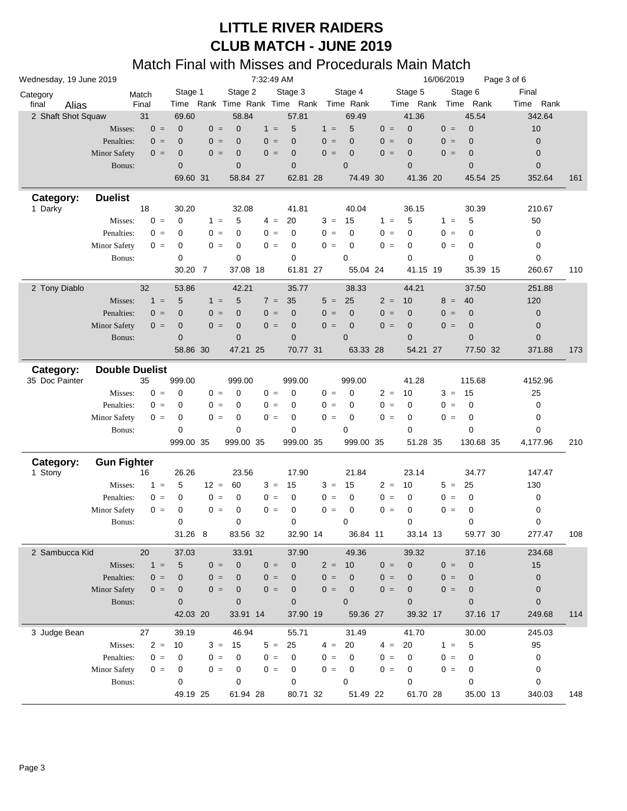| Wednesday, 19 June 2019     |                       | 7:32:49 AM |              |        |                |       |             |       | 16/06/2019<br>Page 3 of 6               |       |              |       |                     |             |     |
|-----------------------------|-----------------------|------------|--------------|--------|----------------|-------|-------------|-------|-----------------------------------------|-------|--------------|-------|---------------------|-------------|-----|
| Category                    |                       | Match      | Stage 1      |        | Stage 2        |       | Stage 3     |       | Stage 4                                 |       | Stage 5      |       | Stage 6             | Final       |     |
| final<br>Alias              |                       | Final      |              |        |                |       |             |       | Time Rank Time Rank Time Rank Time Rank |       |              |       | Time Rank Time Rank | Time Rank   |     |
| 2 Shaft Shot Squaw          |                       | 31         | 69.60        |        | 58.84          |       | 57.81       |       | 69.49                                   |       | 41.36        |       | 45.54               | 342.64      |     |
|                             | Misses:               | $0 =$      | $\mathbf 0$  | $0 =$  | $\overline{0}$ | $1 =$ | 5           | $1 =$ | 5                                       | $0 =$ | $\mathbf 0$  | $0 =$ | $\mathbf 0$         | 10          |     |
|                             | Penalties:            | $0 =$      | $\mathbf{0}$ | $0 =$  | $\overline{0}$ | $0 =$ | $\mathbf 0$ | $0 =$ | $\mathbf 0$                             | $0 =$ | $\mathbf{0}$ | $0 =$ | $\mathbf 0$         | $\mathbf 0$ |     |
|                             | <b>Minor Safety</b>   | $0 =$      | $\mathbf 0$  | $0 =$  | $\overline{0}$ | $0 =$ | $\pmb{0}$   | $0 =$ | $\mathbf 0$                             | $0 =$ | $\mathbf 0$  | $0 =$ | $\mathbf 0$         | $\mathbf 0$ |     |
|                             | Bonus:                |            | $\mathbf{0}$ |        | $\overline{0}$ |       | $\mathbf 0$ |       | $\overline{0}$                          |       | $\mathbf{0}$ |       | $\overline{0}$      | $\mathbf 0$ |     |
|                             |                       |            | 69.60 31     |        | 58.84 27       |       | 62.81 28    |       | 74.49 30                                |       | 41.36 20     |       | 45.54 25            | 352.64      | 161 |
| Category:                   | <b>Duelist</b>        |            |              |        |                |       |             |       |                                         |       |              |       |                     |             |     |
| 1 Darky                     |                       | 18         | 30.20        |        | 32.08          |       | 41.81       |       | 40.04                                   |       | 36.15        |       | 30.39               | 210.67      |     |
|                             | Misses:               | $0 =$      | $\mathbf 0$  | $1 =$  | 5              | $4 =$ | 20          | $3 =$ | 15                                      | $1 =$ | 5            | $1 =$ | 5                   | 50          |     |
|                             | Penalties:            | $0 =$      | $\mathbf 0$  | $0 =$  | 0              | $0 =$ | 0           | $0 =$ | 0                                       | $0 =$ | 0            | $0 =$ | 0                   | 0           |     |
|                             | <b>Minor Safety</b>   | $0 =$      | 0            | $0 =$  | 0              | $0 =$ | 0           | $0 =$ | 0                                       | $0 =$ | 0            | $0 =$ | 0                   | 0           |     |
|                             | Bonus:                |            | 0            |        | $\mathbf 0$    |       | 0           |       | 0                                       |       | $\mathbf 0$  |       | $\mathbf 0$         | 0           |     |
|                             |                       |            | 30.20 7      |        | 37.08 18       |       | 61.81 27    |       | 55.04 24                                |       | 41.15 19     |       | 35.39 15            | 260.67      | 110 |
| 2 Tony Diablo               |                       | 32         | 53.86        |        | 42.21          |       | 35.77       |       | 38.33                                   |       | 44.21        |       | 37.50               | 251.88      |     |
|                             | Misses:               | $1 =$      | 5            | $1 =$  | 5              | $7 =$ | 35          | $5 =$ | 25                                      | $2 =$ | 10           | $8 =$ | 40                  | 120         |     |
|                             | Penalties:            | $0 =$      | $\mathbf{0}$ | $0 =$  | $\overline{0}$ | $0 =$ | $\mathbf 0$ | $0 =$ | $\mathbf 0$                             | $0 =$ | $\mathbf{0}$ | $0 =$ | $\mathbf 0$         | $\mathbf 0$ |     |
|                             | <b>Minor Safety</b>   | $0 =$      | $\mathbf 0$  | $0 =$  | $\mathbf 0$    | $0 =$ | $\pmb{0}$   | $0 =$ | $\mathbf 0$                             | $0 =$ | $\mathbf 0$  | $0 =$ | $\mathbf 0$         | $\mathbf 0$ |     |
|                             | Bonus:                |            | $\mathbf{0}$ |        | $\overline{0}$ |       | $\mathbf 0$ |       | $\overline{0}$                          |       | $\mathbf{0}$ |       | 0                   | 0           |     |
|                             |                       |            | 58.86 30     |        | 47.21 25       |       | 70.77 31    |       | 63.33 28                                |       | 54.21 27     |       | 77.50 32            | 371.88      | 173 |
|                             |                       |            |              |        |                |       |             |       |                                         |       |              |       |                     |             |     |
| Category:<br>35 Doc Painter | <b>Double Duelist</b> | 35         | 999.00       |        | 999.00         |       | 999.00      |       | 999.00                                  |       | 41.28        |       | 115.68              | 4152.96     |     |
|                             | Misses:               | $0 =$      | 0            | $0 =$  | 0              | $0 =$ | 0           | $0 =$ | $\mathbf 0$                             | $2 =$ | 10           | $3 =$ | 15                  | 25          |     |
|                             | Penalties:            | $0 =$      | 0            | $0 =$  | 0              | $0 =$ | 0           | $0 =$ | 0                                       | $0 =$ | 0            | $0 =$ | 0                   | 0           |     |
|                             | Minor Safety          | $0 =$      | 0            | $0 =$  | 0              | $0 =$ | 0           | $0 =$ | 0                                       | $0 =$ | 0            | $0 =$ | 0                   | 0           |     |
|                             | Bonus:                |            | 0            |        | $\mathbf 0$    |       | 0           |       | 0                                       |       | $\mathbf 0$  |       | 0                   | 0           |     |
|                             |                       |            | 999.00 35    |        | 999.00 35      |       | 999.00 35   |       | 999.00 35                               |       | 51.28 35     |       | 130.68 35           | 4,177.96    | 210 |
|                             |                       |            |              |        |                |       |             |       |                                         |       |              |       |                     |             |     |
| Category:                   | <b>Gun Fighter</b>    |            |              |        |                |       |             |       |                                         |       |              |       |                     |             |     |
| 1 Stony                     |                       | 16         | 26.26        |        | 23.56          |       | 17.90       |       | 21.84                                   |       | 23.14        |       | 34.77               | 147.47      |     |
|                             | Misses:               | $1 =$      | 5            | $12 =$ | 60             | $3 =$ | 15          | $3 =$ | 15                                      | $2 =$ | 10           | $5 =$ | 25                  | 130         |     |
|                             | Penalties:            | $0 =$      | 0            | $0 =$  | 0              | $0 =$ | 0           | $0 =$ | 0                                       | $0 =$ | 0            | $0 =$ | 0                   | 0           |     |
|                             | <b>Minor Safety</b>   | $0 =$      | 0            | $0 =$  | $\mathbf 0$    | $0 =$ | 0           | $0 =$ | $\mathbf 0$                             | $0 =$ | 0            | $0 =$ | 0                   | 0           |     |
|                             | Bonus:                |            | 0            |        | $\mathbf 0$    |       | 0           |       | 0                                       |       | 0            |       | 0                   | 0           |     |
|                             |                       |            | 31.26 8      |        | 83.56 32       |       | 32.90 14    |       | 36.84 11                                |       | 33.14 13     |       | 59.77 30            | 277.47      | 108 |
| 2 Sambucca Kid              |                       | 20         | 37.03        |        | 33.91          |       | 37.90       |       | 49.36                                   |       | 39.32        |       | 37.16               | 234.68      |     |
|                             | Misses:               | $1 =$      | 5            | $0 =$  | $\mathbf 0$    | $0 =$ | $\pmb{0}$   | $2 =$ | 10                                      | $0 =$ | $\mathbf 0$  | $0 =$ | $\mathbf 0$         | 15          |     |
|                             | Penalties:            | $0 =$      | 0            | $0 =$  | $\overline{0}$ | $0 =$ | $\mathbf 0$ | $0 =$ | $\mathbf 0$                             | $0 =$ | $\mathbf{0}$ | $0 =$ | $\mathbf 0$         | $\pmb{0}$   |     |
|                             | Minor Safety          | $0 =$      | $\mathbf 0$  | $0 =$  | $\mathbf 0$    | $0 =$ | $\pmb{0}$   | $0 =$ | $\mathbf 0$                             | $0 =$ | $\mathbf 0$  | $0 =$ | $\mathbf 0$         | 0           |     |
|                             | Bonus:                |            | $\mathbf{0}$ |        | $\overline{0}$ |       | $\mathbf 0$ |       | $\overline{0}$                          |       | $\mathbf{0}$ |       | $\overline{0}$      | $\mathbf 0$ |     |
|                             |                       |            | 42.03 20     |        | 33.91 14       |       | 37.90 19    |       | 59.36 27                                |       | 39.32 17     |       | 37.16 17            | 249.68      | 114 |
| 3 Judge Bean                |                       | 27         | 39.19        |        | 46.94          |       | 55.71       |       | 31.49                                   |       | 41.70        |       | 30.00               | 245.03      |     |
|                             | Misses:               | $2 =$      | 10           | $3 =$  | 15             | $5 =$ | 25          | $4 =$ | 20                                      | $4 =$ | 20           | $1 =$ | 5                   | 95          |     |
|                             | Penalties:            | $0 =$      | 0            | $0 =$  | 0              | $0 =$ | 0           | $0 =$ | 0                                       | $0 =$ | 0            | $0 =$ | 0                   | 0           |     |
|                             | Minor Safety          | $0 =$      | 0            | $0 =$  | 0              | $0 =$ | 0           | $0 =$ | 0                                       | $0 =$ | 0            | $0 =$ | 0                   | 0           |     |
|                             | Bonus:                |            | 0            |        | 0              |       | 0           |       | 0                                       |       | $\mathbf 0$  |       | 0                   | 0           |     |
|                             |                       |            | 49.19 25     |        | 61.94 28       |       | 80.71 32    |       | 51.49 22                                |       | 61.70 28     |       | 35.00 13            | 340.03      | 148 |
|                             |                       |            |              |        |                |       |             |       |                                         |       |              |       |                     |             |     |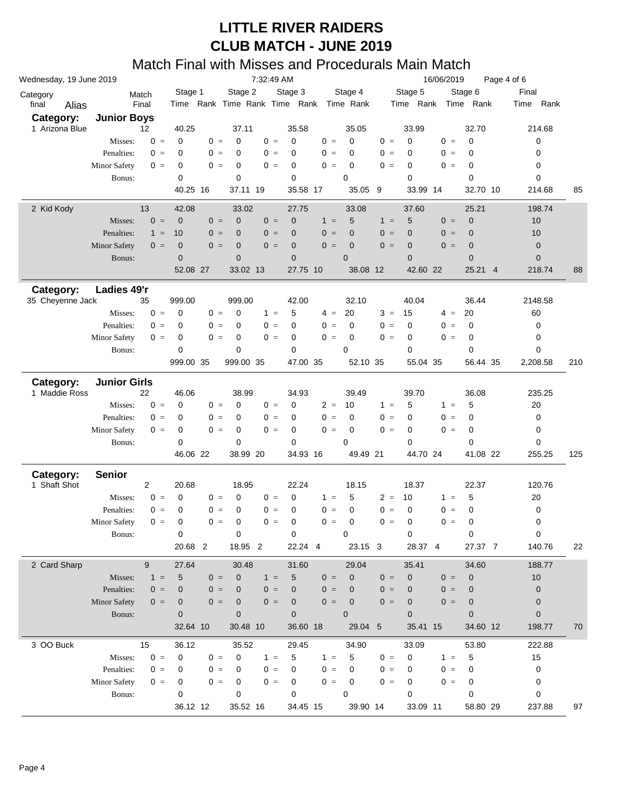| Wednesday, 19 June 2019 |                     |                   |                |       |                | 7:32:49 AM |             |       |                                         |       |                | 16/06/2019 |                | Page 4 of 6    |             |     |
|-------------------------|---------------------|-------------------|----------------|-------|----------------|------------|-------------|-------|-----------------------------------------|-------|----------------|------------|----------------|----------------|-------------|-----|
| Category                |                     | Match             | Stage 1        |       | Stage 2        |            | Stage 3     |       | Stage 4                                 |       | Stage 5        |            | Stage 6        |                | Final       |     |
| final<br>Alias          |                     | Final             |                |       |                |            |             |       | Time Rank Time Rank Time Rank Time Rank |       | Time Rank      |            | Time Rank      |                | Time Rank   |     |
| Category:               | <b>Junior Boys</b>  |                   |                |       |                |            |             |       |                                         |       |                |            |                |                |             |     |
| 1 Arizona Blue          |                     | $12 \overline{ }$ | 40.25          |       | 37.11          |            | 35.58       |       | 35.05                                   |       | 33.99          |            | 32.70          |                | 214.68      |     |
|                         | Misses:             | $0 =$             | $\mathbf 0$    | $0 =$ | 0              | $0 =$      | $\mathbf 0$ | $0 =$ | $\mathbf 0$                             | $0 =$ | $\mathbf 0$    | $0 =$      | 0              |                | 0           |     |
|                         | Penalties:          | $0 =$             | $\mathbf 0$    | $0 =$ | 0              | $0 =$      | 0           | $0 =$ | 0                                       | $0 =$ | 0              | $0 =$      | 0              |                | 0           |     |
|                         | <b>Minor Safety</b> | $0 =$             | $\mathbf 0$    | $0 =$ | 0              | $0 =$      | 0           | $0 =$ | $\mathbf 0$                             | $0 =$ | 0              | $0 =$      | 0              |                | 0           |     |
|                         | Bonus:              |                   | $\Omega$       |       | 0              |            | 0           |       | 0                                       |       | $\mathbf 0$    |            | $\mathbf 0$    |                | 0           |     |
|                         |                     |                   | 40.25 16       |       | 37.11 19       |            | 35.58 17    |       | 35.05 9                                 |       | 33.99 14       |            | 32.70 10       |                | 214.68      | 85  |
| 2 Kid Kody              |                     | 13                | 42.08          |       | 33.02          |            | 27.75       |       | 33.08                                   |       | 37.60          |            | 25.21          |                | 198.74      |     |
|                         | Misses:             | $0 =$             | $\mathbf 0$    | $0 =$ | $\mathbf 0$    | $0 =$      | $\mathbf 0$ | $1 =$ | 5                                       | $1 =$ | 5              | $0 =$      | $\mathbf 0$    |                | 10          |     |
|                         | Penalties:          | $1 =$             | 10             | $0 =$ | $\mathbf 0$    | $0 =$      | $\mathbf 0$ | $0 =$ | $\overline{0}$                          | $0 =$ | $\mathbf 0$    | $0 =$      | $\mathbf 0$    |                | 10          |     |
|                         | <b>Minor Safety</b> | $0 =$             | $\mathbf 0$    | $0 =$ | $\mathbf 0$    | $0 =$      | $\mathbf 0$ | $0 =$ | $\mathbf 0$                             | $0 =$ | $\mathbf 0$    | $0 =$      | $\mathbf 0$    |                | $\mathbf 0$ |     |
|                         | Bonus:              |                   | $\mathbf{0}$   |       | $\mathbf 0$    |            | 0           |       | $\mathbf 0$                             |       | $\mathbf 0$    |            | $\mathbf 0$    |                | $\mathbf 0$ |     |
|                         |                     |                   | 52.08 27       |       | 33.02 13       |            | 27.75 10    |       | 38.08 12                                |       | 42.60 22       |            | 25.21          | $\overline{4}$ | 218.74      | 88  |
| Category:               | Ladies 49'r         |                   |                |       |                |            |             |       |                                         |       |                |            |                |                |             |     |
| 35 Cheyenne Jack        |                     | 35                | 999.00         |       | 999.00         |            | 42.00       |       | 32.10                                   |       | 40.04          |            | 36.44          |                | 2148.58     |     |
|                         | Misses:             | $0 =$             | $\mathbf 0$    | $0 =$ | 0              | $1 =$      | 5           | $4 =$ | 20                                      | $3 =$ | 15             | $4 =$      | 20             |                | 60          |     |
|                         | Penalties:          | $0 =$             | 0              | $0 =$ | 0              | $0 =$      | 0           | $0 =$ | $\mathbf 0$                             | $0 =$ | $\mathbf 0$    | $0 =$      | 0              |                | 0           |     |
|                         | Minor Safety        | $0 =$             | 0              | $0 =$ | 0              | $0 =$      | 0           | $0 =$ | 0                                       | $0 =$ | 0              | $0 =$      | 0              |                | 0           |     |
|                         | Bonus:              |                   | $\mathbf 0$    |       | 0              |            | 0           |       | $\mathbf 0$                             |       | $\mathbf 0$    |            | 0              |                | 0           |     |
|                         |                     |                   | 999.00 35      |       | 999.00 35      |            | 47.00 35    |       | 52.10 35                                |       | 55.04 35       |            | 56.44 35       |                | 2,208.58    | 210 |
|                         |                     |                   |                |       |                |            |             |       |                                         |       |                |            |                |                |             |     |
| Category:               | <b>Junior Girls</b> |                   |                |       |                |            |             |       |                                         |       |                |            |                |                |             |     |
| 1 Maddie Ross           |                     | 22                | 46.06          |       | 38.99          |            | 34.93       |       | 39.49                                   |       | 39.70          |            | 36.08          |                | 235.25      |     |
|                         | Misses:             | $0 =$             | $\mathbf 0$    | $0 =$ | 0              | $0 =$      | 0           | $2 =$ | 10                                      | $1 =$ | 5              | $1 =$      | 5              |                | 20          |     |
|                         | Penalties:          | $0 =$             | 0              | $0 =$ | 0              | $0 =$      | $\mathbf 0$ | $0 =$ | $\mathbf 0$                             | $0 =$ | 0              | $0 =$      | 0              |                | 0           |     |
|                         | Minor Safety        | $0 =$             | 0              | $0 =$ | 0              | $0 =$      | 0           | $0 =$ | $\mathbf 0$                             | $0 =$ | 0              | $0 =$      | 0              |                | 0           |     |
|                         | Bonus:              |                   | $\mathbf 0$    |       | 0              |            | 0           |       | 0                                       |       | $\mathbf 0$    |            | $\mathbf 0$    |                | 0           |     |
|                         |                     |                   | 46.06 22       |       | 38.99 20       |            | 34.93 16    |       | 49.49 21                                |       | 44.70 24       |            | 41.08 22       |                | 255.25      | 125 |
| Category:               | <b>Senior</b>       |                   |                |       |                |            |             |       |                                         |       |                |            |                |                |             |     |
| 1 Shaft Shot            |                     | $\overline{2}$    | 20.68          |       | 18.95          |            | 22.24       |       | 18.15                                   |       | 18.37          |            | 22.37          |                | 120.76      |     |
|                         | Misses:             | $0 =$             | $\mathbf 0$    | $0 =$ | 0              | $0 =$      | $\mathbf 0$ | $1 =$ | 5                                       | $2 =$ | 10             | $1 =$      | 5              |                | 20          |     |
|                         | Penalties:          | $0 =$             | 0              | $0 =$ | 0              | $0 =$      | 0           | $0 =$ | $\mathbf 0$                             | $0 =$ | 0              | $0 =$      | 0              |                | 0           |     |
|                         | <b>Minor Safety</b> | $0 =$             | 0              | $0 =$ | 0              | $0 =$      | 0           | $0 =$ | $\mathbf 0$                             | $0 =$ | $\mathbf 0$    | $0 =$      | 0              |                | 0           |     |
|                         | Bonus:              |                   | $\mathbf 0$    |       | 0              |            | 0           |       | 0                                       |       | 0              |            | 0              |                | 0           |     |
|                         |                     |                   | 20.68 2        |       | 18.95 2        |            | 22.24 4     |       | 23.15 3                                 |       | 28.37 4        |            | 27.37 7        |                | 140.76      | 22  |
| 2 Card Sharp            |                     | 9                 | 27.64          |       | 30.48          |            | 31.60       |       | 29.04                                   |       | 35.41          |            | 34.60          |                | 188.77      |     |
|                         | Misses:             | $1 =$             | 5              | $0 =$ | $\mathbf 0$    | $1 =$      | 5           | $0 =$ | $\mathbf 0$                             | $0 =$ | $\mathbf 0$    | $0 =$      | $\mathbf 0$    |                | 10          |     |
|                         | Penalties:          | $0 =$             | 0              | $0 =$ | $\overline{0}$ | $0 =$      | 0           | $0 =$ | 0                                       | $0 =$ | $\mathbf 0$    | $0 =$      | $\mathbf 0$    |                | $\pmb{0}$   |     |
|                         | <b>Minor Safety</b> | $0 =$             | 0              | $0 =$ | $\mathbf 0$    | $0 =$      | 0           | $0 =$ | $\mathbf 0$                             | $0 =$ | $\mathbf 0$    | $0 =$      | $\mathbf 0$    |                | $\mathbf 0$ |     |
|                         | Bonus:              |                   | $\overline{0}$ |       | $\overline{0}$ |            | $\mathbf 0$ |       | $\mathbf 0$                             |       | $\overline{0}$ |            | $\overline{0}$ |                | $\mathbf 0$ |     |
|                         |                     |                   | 32.64 10       |       | 30.48 10       |            | 36.60 18    |       | 29.04 5                                 |       | 35.41 15       |            | 34.60 12       |                | 198.77      | 70  |
|                         |                     |                   |                |       |                |            |             |       |                                         |       |                |            |                |                |             |     |
| 3 OO Buck               |                     | 15                | 36.12          |       | 35.52          |            | 29.45       |       | 34.90                                   |       | 33.09          |            | 53.80          |                | 222.88      |     |
|                         | Misses:             | $0 =$             | $\mathbf 0$    | $0 =$ | 0              | $1 =$      | 5           | $1 =$ | 5                                       | $0 =$ | $\pmb{0}$      | $1 =$      | 5              |                | 15          |     |
|                         | Penalties:          | $0 =$             | 0              | $0 =$ | 0              | $0 =$      | 0           | $0 =$ | 0                                       | $0 =$ | 0              | $0 =$      | 0              |                | $\pmb{0}$   |     |
|                         | Minor Safety        | $0 =$             | $\mathbf 0$    | $0 =$ | 0              | $0 =$      | 0           | $0 =$ | $\mathbf 0$                             | $0 =$ | 0              | $0 =$      | 0              |                | 0           |     |
|                         | Bonus:              |                   | $\mathbf 0$    |       | 0              |            | 0           |       | $\mathbf 0$                             |       | $\mathbf 0$    |            | $\mathbf 0$    |                | 0           |     |
|                         |                     |                   | 36.12 12       |       | 35.52 16       |            | 34.45 15    |       | 39.90 14                                |       | 33.09 11       |            | 58.80 29       |                | 237.88      | 97  |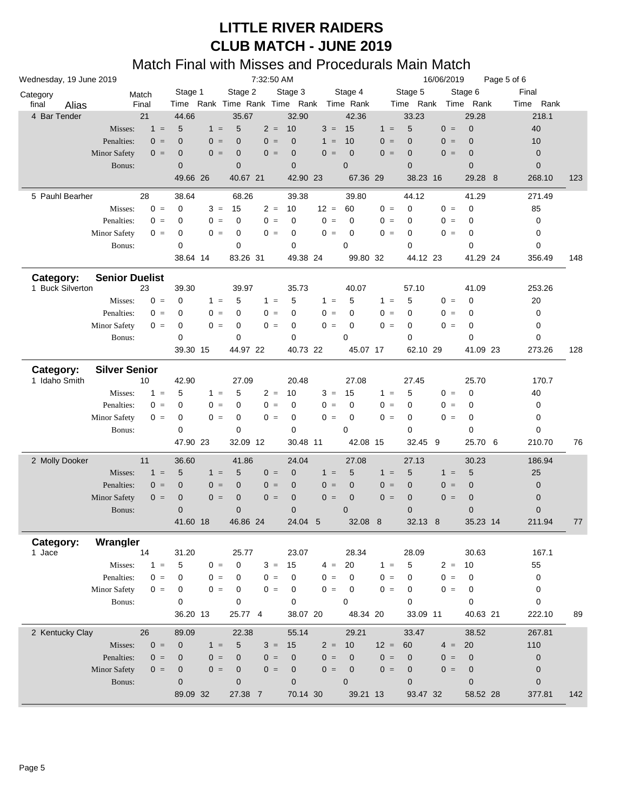| Wednesday, 19 June 2019 |                       |       |                  |       |                | 7:32:50 AM |                  |        |                                         |        |                                | 16/06/2019 |                | Page 5 of 6 |     |
|-------------------------|-----------------------|-------|------------------|-------|----------------|------------|------------------|--------|-----------------------------------------|--------|--------------------------------|------------|----------------|-------------|-----|
| Category                |                       | Match | Stage 1          |       | Stage 2        |            | Stage 3          |        | Stage 4                                 |        | Stage 5<br>Time Rank Time Rank |            | Stage 6        | Final       |     |
| final<br>Alias          |                       | Final |                  |       |                |            |                  |        | Time Rank Time Rank Time Rank Time Rank |        |                                |            |                | Time Rank   |     |
| 4 Bar Tender            |                       | 21    | 44.66            |       | 35.67          |            | 32.90            |        | 42.36                                   |        | 33.23                          |            | 29.28          | 218.1       |     |
|                         | Misses:               | $1 =$ | 5                | $1 =$ | 5              | $2 =$      | 10               | $3 =$  | 15                                      | $1 =$  | 5                              | $0 =$      | $\mathbf 0$    | 40          |     |
|                         | Penalties:            | $0 =$ | $\mathbf 0$      | $0 =$ | $\overline{0}$ | $0 =$      | $\mathbf 0$      | $1 =$  | 10                                      | $0 =$  | $\overline{0}$                 | $0 =$      | $\overline{0}$ | 10          |     |
|                         | <b>Minor Safety</b>   | $0 =$ | $\mathbf 0$      | $0 =$ | $\overline{0}$ | $0 =$      | $\mathbf 0$      | $0 =$  | $\mathbf 0$                             | $0 =$  | $\mathbf 0$                    | $0 =$      | $\overline{0}$ | $\pmb{0}$   |     |
|                         | Bonus:                |       | $\mathbf{0}$     |       | $\overline{0}$ |            | $\mathbf 0$      |        | $\overline{0}$                          |        | $\overline{0}$                 |            | $\overline{0}$ | $\mathbf 0$ |     |
|                         |                       |       | 49.66 26         |       | 40.67 21       |            | 42.90 23         |        | 67.36 29                                |        | 38.23 16                       |            | 29.28 8        | 268.10      | 123 |
| 5 Pauhl Bearher         |                       | 28    | 38.64            |       | 68.26          |            | 39.38            |        | 39.80                                   |        | 44.12                          |            | 41.29          | 271.49      |     |
|                         | Misses:               | $0 =$ | 0                | $3 =$ | 15             | $2 =$      | 10               | $12 =$ | 60                                      | $0 =$  | $\mathbf 0$                    | $0 =$      | $\mathbf 0$    | 85          |     |
|                         | Penalties:            | $0 =$ | 0                | $0 =$ | 0              | $0 =$      | $\mathbf 0$      | $0 =$  | 0                                       | $0 =$  | $\mathbf 0$                    | $0 =$      | 0              | 0           |     |
|                         |                       |       |                  |       |                |            |                  |        |                                         |        |                                |            |                |             |     |
|                         | <b>Minor Safety</b>   | $0 =$ | 0                | $0 =$ | 0              | $0 =$      | 0                | $0 =$  | 0                                       | $0 =$  | 0                              | $0 =$      | 0              | 0           |     |
|                         | Bonus:                |       | 0                |       | 0              |            | $\mathbf 0$      |        | 0                                       |        | $\mathbf 0$                    |            | $\mathbf 0$    | 0           |     |
|                         |                       |       | 38.64 14         |       | 83.26 31       |            | 49.38 24         |        | 99.80 32                                |        | 44.12 23                       |            | 41.29 24       | 356.49      | 148 |
| Category:               | <b>Senior Duelist</b> |       |                  |       |                |            |                  |        |                                         |        |                                |            |                |             |     |
| 1 Buck Silverton        |                       | 23    | 39.30            |       | 39.97          |            | 35.73            |        | 40.07                                   |        | 57.10                          |            | 41.09          | 253.26      |     |
|                         | Misses:               | $0 =$ | 0                | $1 =$ | 5              | $1 =$      | 5                | $1 =$  | 5                                       | $1 =$  | 5                              | $0 =$      | 0              | 20          |     |
|                         | Penalties:            | $0 =$ | 0                | $0 =$ | 0              | $0 =$      | 0                | $0 =$  | 0                                       | $0 =$  | $\mathbf 0$                    | $0 =$      | 0              | 0           |     |
|                         | <b>Minor Safety</b>   | $0 =$ | 0                | $0 =$ | 0              | $0 =$      | 0                | $0 =$  | $\mathbf 0$                             | $0 =$  | 0                              | $0 =$      | 0              | 0           |     |
|                         | Bonus:                |       | 0                |       | 0              |            | 0                |        | $\mathbf 0$                             |        | $\mathbf 0$                    |            | 0              | 0           |     |
|                         |                       |       | 39.30 15         |       |                |            | 40.73 22         |        |                                         |        |                                |            |                |             |     |
|                         |                       |       |                  |       | 44.97 22       |            |                  |        | 45.07 17                                |        | 62.10 29                       |            | 41.09 23       | 273.26      | 128 |
| Category:               | <b>Silver Senior</b>  |       |                  |       |                |            |                  |        |                                         |        |                                |            |                |             |     |
| 1 Idaho Smith           |                       | 10    | 42.90            |       | 27.09          |            | 20.48            |        | 27.08                                   |        | 27.45                          |            | 25.70          | 170.7       |     |
|                         | Misses:               | $1 =$ | 5                | $1 =$ | 5              | $2 =$      | 10               | $3 =$  | 15                                      | $1 =$  | 5                              | $0 =$      | 0              | 40          |     |
|                         | Penalties:            | $0 =$ | 0                | $0 =$ | 0              | $0 =$      | 0                | $0 =$  | 0                                       | $0 =$  | $\mathbf 0$                    | $0 =$      | 0              | 0           |     |
|                         | <b>Minor Safety</b>   | $0 =$ | 0                | $0 =$ | 0              | $0 =$      | 0                | $0 =$  | $\mathbf 0$                             | $0 =$  | 0                              | $0 =$      | 0              | 0           |     |
|                         |                       |       | 0                |       | 0              |            | $\mathbf 0$      |        | 0                                       |        | $\mathbf 0$                    |            | $\mathbf 0$    | 0           |     |
|                         | Bonus:                |       |                  |       |                |            |                  |        |                                         |        |                                |            |                |             |     |
|                         |                       |       | 47.90 23         |       | 32.09 12       |            | 30.48 11         |        | 42.08 15                                |        | 32.45                          | 9          | 25.70 6        | 210.70      | 76  |
| 2 Molly Dooker          |                       | 11    | 36.60            |       | 41.86          |            | 24.04            |        | 27.08                                   |        | 27.13                          |            | 30.23          | 186.94      |     |
|                         | Misses:               | $1 =$ | 5                | $1 =$ | 5              | $0 =$      | $\mathbf 0$      | $1 =$  | 5                                       | $1 =$  | 5                              | $1 =$      | 5              | 25          |     |
|                         | Penalties:            | $0 =$ | $\mathbf 0$      | $0 =$ | $\overline{0}$ | $0 =$      | $\mathbf 0$      | $0 =$  | $\mathbf 0$                             | $0 =$  | $\mathbf 0$                    | $0 =$      | $\mathbf 0$    | $\pmb{0}$   |     |
|                         | <b>Minor Safety</b>   | $0 =$ | $\boldsymbol{0}$ | $0 =$ | $\mathbf 0$    | $0 =$      | $\boldsymbol{0}$ | $0 =$  | $\mathbf 0$                             | $0 =$  | $\mathbf 0$                    | $0 =$      | $\mathbf 0$    | $\pmb{0}$   |     |
|                         | Bonus:                |       | $\mathbf 0$      |       | $\mathbf 0$    |            | $\pmb{0}$        |        | $\overline{0}$                          |        | $\mathbf 0$                    |            | $\overline{0}$ | $\pmb{0}$   |     |
|                         |                       |       | 41.60 18         |       | 46.86 24       |            | 24.04 5          |        | 32.08 8                                 |        | 32.13 8                        |            | 35.23 14       | 211.94      | 77  |
|                         |                       |       |                  |       |                |            |                  |        |                                         |        |                                |            |                |             |     |
| Category:               | Wrangler              |       |                  |       |                |            |                  |        |                                         |        |                                |            |                |             |     |
| 1 Jace                  |                       | 14    | 31.20            |       | 25.77          |            | 23.07            |        | 28.34                                   |        | 28.09                          |            | 30.63          | 167.1       |     |
|                         | Misses:               | $1 =$ | 5                | $0 =$ | $\mathbf 0$    | $3 =$      | 15               | $4 =$  | 20                                      | $1 =$  | 5                              | $2 = 10$   |                | 55          |     |
|                         | Penalties:            | $0 =$ | 0                | $0 =$ | 0              | $0 =$      | $\mathbf 0$      | $0 =$  | $\mathbf 0$                             | $0 =$  | $\mathbf 0$                    | $0 =$      | 0              | 0           |     |
|                         | Minor Safety          | $0 =$ | 0                | $0 =$ | 0              | $0 =$      | 0                | $0 =$  | $\mathbf 0$                             | $0 =$  | 0                              | $0 =$      | 0              | 0           |     |
|                         | Bonus:                |       | $\mathbf 0$      |       | 0              |            | $\mathbf 0$      |        | $\Omega$                                |        | $\Omega$                       |            | $\Omega$       | 0           |     |
|                         |                       |       | 36.20 13         |       | 25.77 4        |            | 38.07 20         |        | 48.34 20                                |        | 33.09 11                       |            | 40.63 21       | 222.10      | 89  |
| 2 Kentucky Clay         |                       | 26    | 89.09            |       | 22.38          |            | 55.14            |        | 29.21                                   |        | 33.47                          |            | 38.52          | 267.81      |     |
|                         | Misses:               | $0 =$ | $\mathbf 0$      | $1 =$ | 5              | $3 =$      | 15               | $2 =$  | 10                                      | $12 =$ | 60                             | $4 =$      | 20             | 110         |     |
|                         |                       |       |                  |       |                |            |                  |        |                                         |        |                                |            |                |             |     |
|                         | Penalties:            | $0 =$ | $\mathbf 0$      | $0 =$ | $\mathbf{0}$   | $0 =$      | $\mathbf{0}$     | $0 =$  | $\mathbf{0}$                            | $0 =$  | $\mathbf{0}$                   | $0 =$      | $\mathbf{0}$   | $\pmb{0}$   |     |
|                         | Minor Safety          | $0 =$ | $\mathbf 0$      | $0 =$ | $\mathbf 0$    | $0 =$      | $\mathbf 0$      | $0 =$  | $\overline{\mathbf{0}}$                 | $0 =$  | $\mathbf 0$                    | $0 =$      | $\mathbf 0$    | $\pmb{0}$   |     |
|                         | Bonus:                |       | $\mathbf 0$      |       | 0              |            | $\mathbf 0$      |        | $\overline{0}$                          |        | $\mathbf{0}$                   |            | $\mathbf{0}$   | $\mathbf 0$ |     |
|                         |                       |       | 89.09 32         |       | 27.38 7        |            | 70.14 30         |        | 39.21 13                                |        | 93.47 32                       |            | 58.52 28       | 377.81      | 142 |